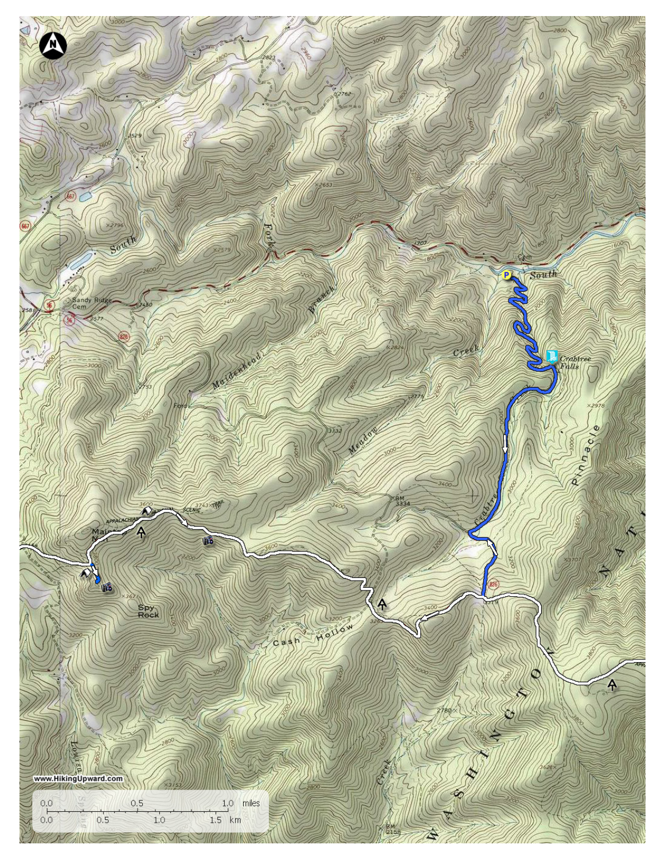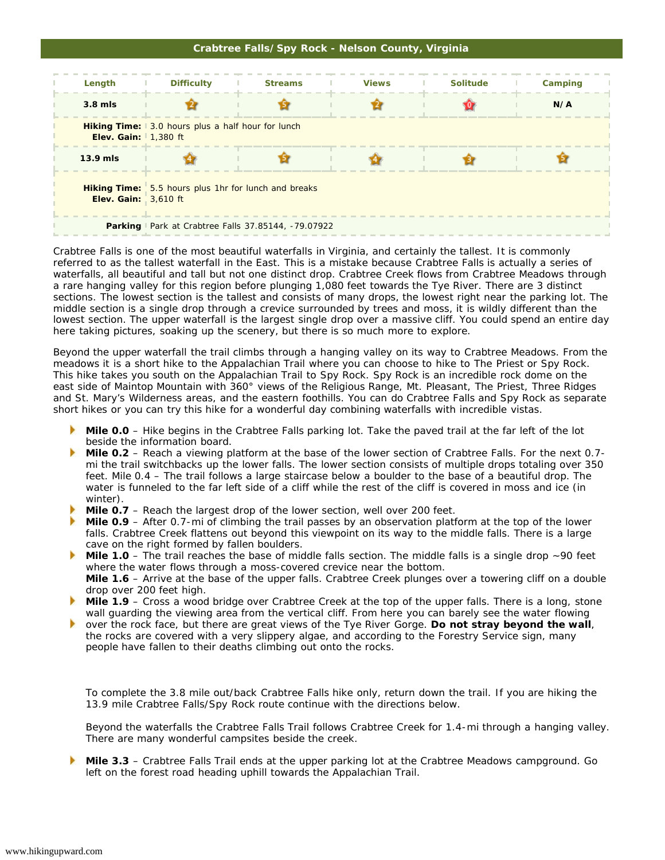## **Crabtree Falls/Spy Rock - Nelson County, Virginia**

| Length                                                                    | <b>Difficulty</b>                                           | <b>Streams</b> | <b>Views</b> | <b>Solitude</b> | Camping |
|---------------------------------------------------------------------------|-------------------------------------------------------------|----------------|--------------|-----------------|---------|
| $3.8$ mls                                                                 |                                                             |                |              |                 | N/A     |
| Hiking Time: 3.0 hours plus a half hour for lunch<br>Elev. Gain: 1,380 ft |                                                             |                |              |                 |         |
| 13.9 mls                                                                  |                                                             |                |              |                 |         |
| <b>Elev. Gain:</b> 3,610 ft                                               | <b>Hiking Time:</b> 5.5 hours plus 1hr for lunch and breaks |                |              |                 |         |
|                                                                           | <b>Parking</b> Park at Crabtree Falls 37.85144, -79.07922   |                |              |                 |         |

Crabtree Falls is one of the most beautiful waterfalls in Virginia, and certainly the tallest. It is commonly referred to as the tallest waterfall in the East. This is a mistake because Crabtree Falls is actually a series of waterfalls, all beautiful and tall but not one distinct drop. Crabtree Creek flows from Crabtree Meadows through a rare hanging valley for this region before plunging 1,080 feet towards the Tye River. There are 3 distinct sections. The lowest section is the tallest and consists of many drops, the lowest right near the parking lot. The middle section is a single drop through a crevice surrounded by trees and moss, it is wildly different than the lowest section. The upper waterfall is the largest single drop over a massive cliff. You could spend an entire day here taking pictures, soaking up the scenery, but there is so much more to explore.

Beyond the upper waterfall the trail climbs through a hanging valley on its way to Crabtree Meadows. From the meadows it is a short hike to the Appalachian Trail where you can choose to hike to The Priest or Spy Rock. This hike takes you south on the Appalachian Trail to Spy Rock. Spy Rock is an incredible rock dome on the east side of Maintop Mountain with 360° views of the Religious Range, Mt. Pleasant, The Priest, Three Ridges and St. Mary's Wilderness areas, and the eastern foothills. You can do Crabtree Falls and Spy Rock as separate short hikes or you can try this hike for a wonderful day combining waterfalls with incredible vistas.

- **Mile 0.0** Hike begins in the Crabtree Falls parking lot. Take the paved trail at the far left of the lot beside the information board.
- **Mile 0.2** Reach a viewing platform at the base of the lower section of Crabtree Falls. For the next 0.7 mi the trail switchbacks up the lower falls. The lower section consists of multiple drops totaling over 350 feet. Mile 0.4 – The trail follows a large staircase below a boulder to the base of a beautiful drop. The water is funneled to the far left side of a cliff while the rest of the cliff is covered in moss and ice (in winter).
- **Mile 0.7** Reach the largest drop of the lower section, well over 200 feet.
- **Mile 0.9** After 0.7-mi of climbing the trail passes by an observation platform at the top of the lower falls. Crabtree Creek flattens out beyond this viewpoint on its way to the middle falls. There is a large cave on the right formed by fallen boulders.
- **Mile 1.0** The trail reaches the base of middle falls section. The middle falls is a single drop ~90 feet where the water flows through a moss-covered crevice near the bottom. **Mile 1.6** – Arrive at the base of the upper falls. Crabtree Creek plunges over a towering cliff on a double drop over 200 feet high.
- **Mile 1.9** Cross a wood bridge over Crabtree Creek at the top of the upper falls. There is a long, stone wall guarding the viewing area from the vertical cliff. From here you can barely see the water flowing
- over the rock face, but there are great views of the Tye River Gorge. **Do not stray beyond the wall**, the rocks are covered with a very slippery algae, and according to the Forestry Service sign, many people have fallen to their deaths climbing out onto the rocks.

To complete the 3.8 mile out/back Crabtree Falls hike only, return down the trail. If you are hiking the 13.9 mile Crabtree Falls/Spy Rock route continue with the directions below.

Beyond the waterfalls the Crabtree Falls Trail follows Crabtree Creek for 1.4-mi through a hanging valley. There are many wonderful campsites beside the creek.

**Mile 3.3** – Crabtree Falls Trail ends at the upper parking lot at the Crabtree Meadows campground. Go left on the forest road heading uphill towards the Appalachian Trail.